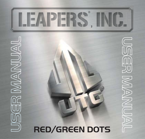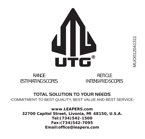

#### RANGE ESTIMATING SCOPES

**RETICLE** INTENSIFIED SCOPES

# **TOTAL SOLUTION TO YOUR NEEDS**

-COMMITMENT TO BEST QUALITY, BEST VALUE AND BEST SERVICE-

**www.LEAPERS.com 32700 Capitol Street, Livonia, MI 48150, U.S.A. Tel:(734)542-1500 Fax:(734)542-7095 Email:office@leapers.com**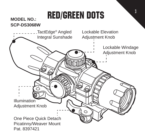# red/green dots

1

#### **MODEL NO.: SCP-DS3068W**

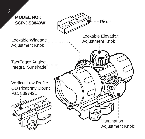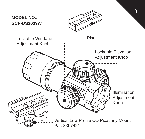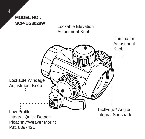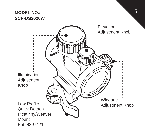#### **MODEL NO.: SCP-DS3026W**

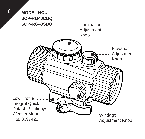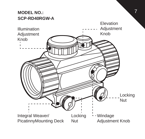#### **MODEL NO.: SCP-RD40RGW-A**

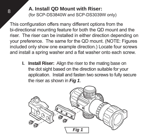## **A. Install QD Mount with Riser:**

(for SCP-DS3840W and SCP-DS3039W only)

This configuration offers many different options from the bi-directional mounting feature for both the QD mount and the riser. The riser can be installed in either direction depending on your preference. The same for the QD mount. (NOTE: Figures included only show one example direction.) Locate four screws and install a spring washer and a flat washer onto each screw.

**I. Install Riser:** Align the riser to the mating base on the dot sight based on the direction suitable for your application. Install and fasten two screws to fully secure the riser as shown in *Fig 1*.



8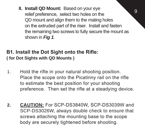**II. Install QD Mount:** Based on your eye relief preference, select two holes on the QD mount and align them to the mating holes on the extruded part of the riser. Install and fasten the remaining two screws to fully secure the mount as shown in *Fig 1*.

q

#### **B1. Install the Dot Sight onto the Rifle: ( for Dot Sights with QD Mounts )**

- 1. Hold the rifle in your natural shooting position. Place the scope onto the Picatinny rail on the rifle to estimate the best position for your shooting preference. Then set the rifle at a steadying device.
- **2. CAUTION:** For SCP-DS3840W, SCP-DS3039W and SCP-DS3026W, always double check to ensure that screws attaching the mounting base to the scope body are securely tightened before shooting.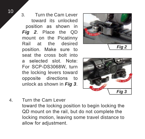3. Turn the Cam Lever toward its unlocked position as shown in *Fig 2*. Place the QD mount on the Picatinny Rail at the desired position. Make sure to seat the cross bolt into a selected slot. Note: For SCP-DS3068W, turn the locking levers toward opposite directions to unlock as shown in *Fig 3*.





4. Turn the Cam Lever toward the locking position to begin locking the QD mount on the rail, but do not complete the locking motion, leaving some travel distance to allow for adjustment.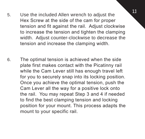- 11 5. Use the included Allen wrench to adjust the Hex Screw at the side of the cam for proper tension and fit against the rail. Adjust clockwise to increase the tension and tighten the clamping width. Adjust counter-clockwise to decrease the tension and increase the clamping width.
- 6. The optimal tension is achieved when the side plate first makes contact with the Picatinny rail while the Cam Lever still has enough travel left for you to securely snap into its locking position. Once you achieve the optimal tension, push the Cam Lever all the way for a positive lock onto the rail. You may repeat Step 3 and 4 if needed to find the best clamping tension and locking position for your mount. This process adapts the mount to your specific rail.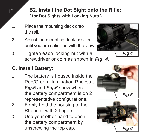**B2. Install the Dot Sight onto the Rifle: ( for Dot Sights with Locking Nuts )**

- 1. Place the mounting deck onto the rail.
- 2. Adjust the mounting deck position until you are satisified with the view.
- 3. Tighten each locking nut with a screwdriver or coin as shown in *Fig. 4*.

## **C. Install Battery:**

- 1. The battery is housed inside the Red/Green Illumination Rheostat. *Fig.5* and *Fig.6* show where the battery compartment is on 2 representative configurations.
- 2. Firmly hold the housing of the Rheostat with 2 fingers.
- 3. Use your other hand to open the battery compartment by unscrewing the top cap.





12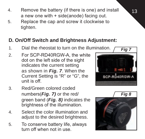- 13
- 4. Remove the battery (if there is one) and install a new one with + side(anode) facing out.
- 5. Replace the cap and screw it clockwise to tighten.

# **D. On/Off Switch and Brightness Adjustment:**

- 1. Dial the rheostat to turn on the illumination.
- 2. For SCP-RD40RGW-A, the white dot on the left side of the sight indicates the current setting as shown in *Fig. 7*. When the Current Setting is "R" or "G", the unit is off.
- 3. Red/Green colored coded numbers(*Fig. 7)* or the red/ green band (*Fig. 8)* indicates the brightness of the illumination.
- 4. Select the color illumination and adjust to the desired brightness.
- 5. To conserve battery life, always turn off when not in use.



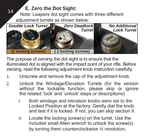# <sup>14</sup> **E. Zero the Dot Sight:**

Note: Leapers dot sight comes with three different adjustment turrets as shown below:



The purpose of zeroing the dot sight is to ensure that the illuminated dot is aligned with the impact point of your rifle. Before zeroing, read the following adjustment knob instruction carefully.

- 1. Unscrew and remove the cap of the adjustment knob.
- 2. Unlock the Windage/Elevation Turrets (for the version without the lockable function, please skip or janore the related 'lock' and 'unlock' steps or descriptions)
	- I. Both windage and elevatoin knobs were set to the Locked Position at the factory. Gently dial the knob and test if it is locked. If not, you can skip section II.
	- II. Locate the locking screw(s) on the turret. Use the included small Allen wrench to unlock the screw(s) by turning them counterclockwise ¼ revolution.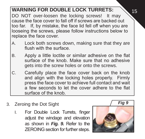## **WARNING FOR DOUBLE LOCK TURRETS:**

DO NOT over-loosen the locking screws! It may cause the face cover to fall off if screws are backed out too far. If, by mistake, the face lid fell off when you are looseing the screws, please follow instructions below to replace the face cover.

- A. Lock both screws down, making sure that they are flush with the surface.
- B. Apply a little loctite or similar adhesive on the flat surface of the knob. Make sure that no adhesive gets into the screw holes or onto the screws.
- C. Carefully place the face cover back on the knob and align with the locking holes properly. Firmly press the face cover to achieve full contact and wait a few seconds to let the cover adhere to the flat surface of the knob.
- 3. Zeroing the Dot Sight
	- I. For Double Lock Turrets, finger adiust the windage and elevation as shown in *Fig. 9.* Refer to the ZEROING section for further steps.



15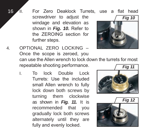16 II. For Zero Deaklock Turrets, use a flat head screwdriver to adjust the windage and elevation as shown in *Fig. 10.* Refer to the ZEROING section for further steps.



- 4. OPTIONAL ZERO LOCKING Once the scope is zeroed, you can use the Allen wrench to lock down the turrets for most repeatable shooting performance.
	- I. To lock Double Lock Turrets: Use the included small Allen wrench to fully lock down both screws by turning them clockwise as shown in *Fig. 11.* It is recommended that you gradually lock both screws alternately until they are fully and evenly locked.



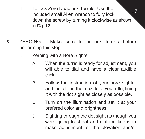- <sup>17</sup> II. To lock Zero Deadlock Turrets: Use the included small Allen wrench to fully lock down the screw by turning it clockwise as shown in *Fig. 12.*
- 5. ZEROING Make sure to un-lock turrets before performing this step.
	- I. Zeroing with a Bore Sighter
		- A. When the turret is ready for adjustment, you will able to dial and have a clear audible click.
		- B. Follow the instruction of your bore sighter and install it in the muzzle of your rifle, lining it with the dot sight as closely as possible.
		- C. Turn on the illumination and set it at your prefered color and brightness.
		- D. Sighting through the dot sight as though you were going to shoot and dial the knobs to make adjustment for the elevation and/or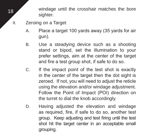18 windage until the crosshair matches the bore sighter

- II. Zeroing on a Target
	- A. Place a target 100 yards away (35 yards for air gun).
	- B. Use a steadying device such as a shooting stand or bipod, set the illumination to your prefer settings, aim at the center of the target and fire a test group shot, if safe to do so.
	- C. If the impact point of the test shot is exactly in the center of the target then the dot sight is zeroed. If not, you will need to adjust the reticle using the elevation and/or windage adjustment. Follow the Point of Impact (POI) direction on the turret to dial the knob accordingly.
	- D. Having adjusted the elevation and windage as required, fire, if safe to do so, another test group. Keep adjusting and test firing until the test shot hit the target center in an acceptable small grouping.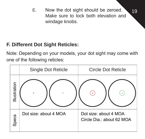E. Now the dot sight should be zeroed.  $\sqrt{19}$ Make sure to lock both elevation and windage knobs.

## **F. Different Dot Sight Reticles:**

Note: Depending on your models, your dot sight may come with one of the following reticles:

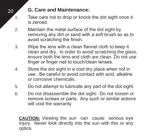## 20 **G. Care and Maintenance:**

- 1. Take care not to drop or knock the dot sight once it is zeroed.
- 2. Maintain the metal surface of the dot sight by removing any dirt or sand with a soft brush so as to avoid scratching the finish.
- 3. Wipe the lens with a clean flannel cloth to keep it clean and dry. In order to avoid scratching the glass, ensure both the lens and cloth are clean. Do not use finger or finger nail to touch/clean lenses.
- 4. Store the dot sight in a cool dry place when not in use. Be careful to avoid contact with acid, alkaline or corrosive chemicals.
- 5. Do not attempt to lubricate any part of the dot sight.
- 6. Do not disassemble the dot sight. Do not loosen or remove screws or parts. Any such or similar actions will void the warranty.

**CAUTION:** Viewing the sun can cause serious eye injury. Never look directly into the sun with this or any optics.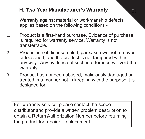### 21 **H. Two Year Manufacturer's Warranty**

Warranty against material or workmanship defects applies based on the following conditions -

- 1. Product is a first-hand purchase. Evidence of purchase is required for warranty service. Warranty is not transferrable.
- 2. Product is not disassembled, parts/ screws not removed or loosened, and the product is not tampered with in any way. Any evidence of such interference will void the warranty.
- 3. Product has not been abused, maliciously damaged or treated in a manner not in keeping with the purpose it is designed for.

For warranty service, please contact the scope distributor and provide a written problem description to obtain a Return Authorization Number before returning the product for repair or replacement.